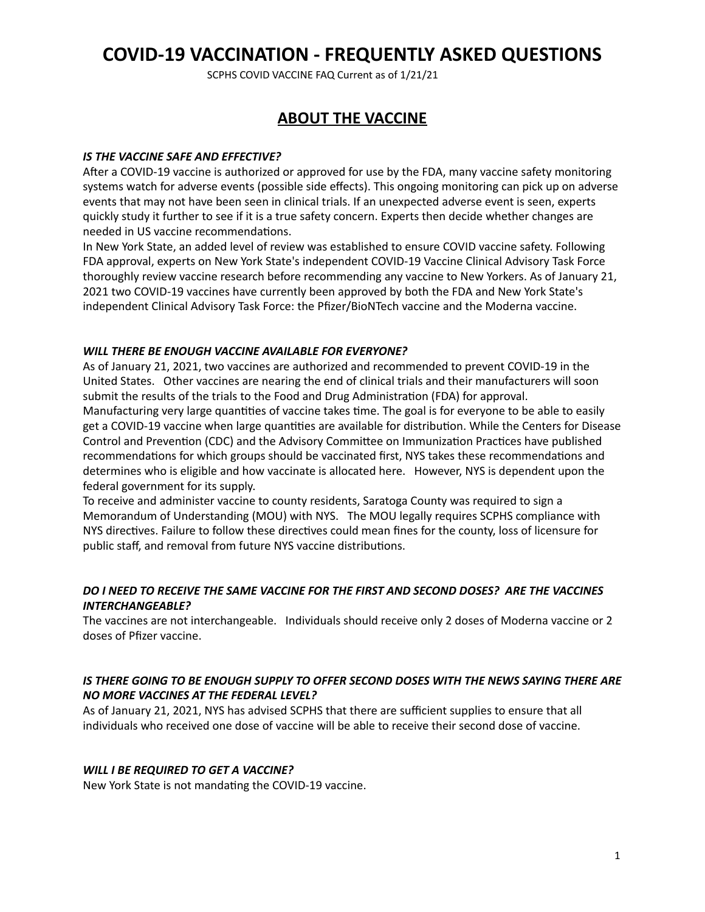SCPHS COVID VACCINE FAQ Current as of 1/21/21

# **ABOUT THE VACCINE**

#### **IS THE VACCINE SAFE AND EFFECTIVE?**

After a COVID-19 vaccine is authorized or approved for use by the FDA, many vaccine safety monitoring systems watch for adverse events (possible side effects). This ongoing monitoring can pick up on adverse events that may not have been seen in clinical trials. If an unexpected adverse event is seen, experts quickly study it further to see if it is a true safety concern. Experts then decide whether changes are needed in US vaccine recommendations.

In New York State, an added level of review was established to ensure COVID vaccine safety. Following FDA approval, experts on New York State's independent COVID-19 Vaccine Clinical Advisory Task Force thoroughly review vaccine research before recommending any vaccine to New Yorkers. As of January 21, 2021 two COVID-19 vaccines have currently been approved by both the FDA and New York State's independent Clinical Advisory Task Force: the Pfizer/BioNTech vaccine and the Moderna vaccine.

#### WILL THERE BE FNOUGH VACCINE AVAILABLE FOR **EVERYONE?**

As of January 21, 2021, two vaccines are authorized and recommended to prevent COVID-19 in the United States. Other vaccines are nearing the end of clinical trials and their manufacturers will soon submit the results of the trials to the Food and Drug Administration (FDA) for approval. Manufacturing very large quantities of vaccine takes time. The goal is for everyone to be able to easily get a COVID-19 vaccine when large quantities are available for distribution. While the Centers for Disease Control and Prevention (CDC) and the Advisory Committee on Immunization Practices have published recommendations for which groups should be vaccinated first, NYS takes these recommendations and determines who is eligible and how vaccinate is allocated here. However, NYS is dependent upon the federal government for its supply.

To receive and administer vaccine to county residents, Saratoga County was required to sign a Memorandum of Understanding (MOU) with NYS. The MOU legally requires SCPHS compliance with NYS directives. Failure to follow these directives could mean fines for the county, loss of licensure for public staff, and removal from future NYS vaccine distributions.

### DO I NEED TO RECEIVE THE SAME VACCINE FOR THE FIRST AND SECOND DOSES? ARE THE VACCINES *INTERCHANGEABLE?*

The vaccines are not interchangeable. Individuals should receive only 2 doses of Moderna vaccine or 2 doses of Pfizer vaccine. 

### IS THERE GOING TO BE ENOUGH SUPPLY TO OFFER SECOND DOSES WITH THE NEWS SAYING THERE ARE *NO MORE VACCINES AT THE FEDERAL LEVEL?*

As of January 21, 2021, NYS has advised SCPHS that there are sufficient supplies to ensure that all individuals who received one dose of vaccine will be able to receive their second dose of vaccine.

#### *WILL I BE REQUIRED TO GET A VACCINE?*

New York State is not mandating the COVID-19 vaccine.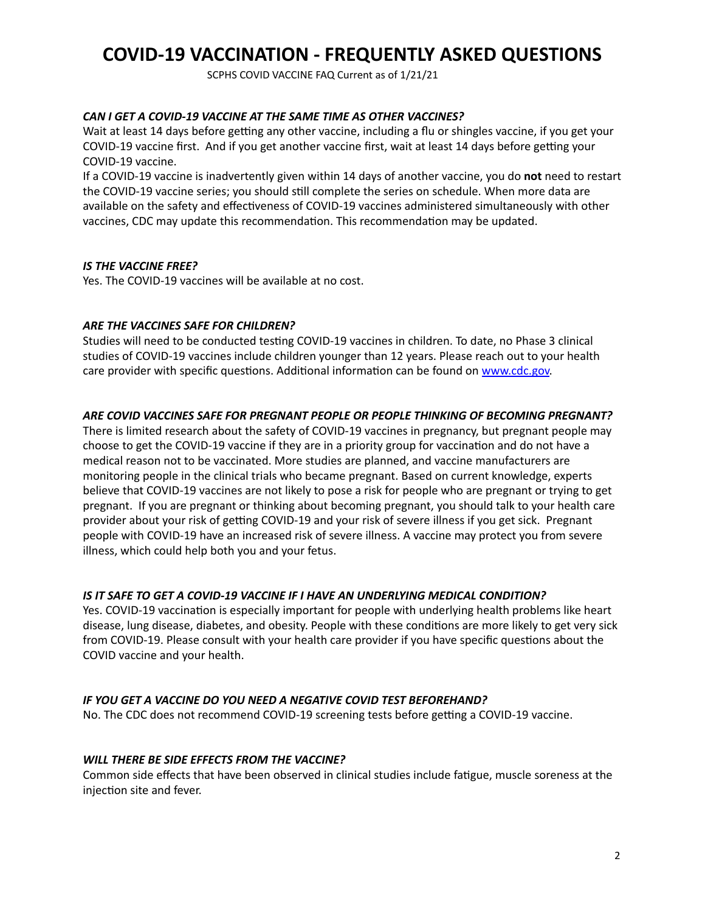SCPHS COVID VACCINE FAQ Current as of 1/21/21

#### *CAN I GET A COVID-19 VACCINE AT THE SAME TIME AS OTHER VACCINES?*

Wait at least 14 days before getting any other vaccine, including a flu or shingles vaccine, if you get your COVID-19 vaccine first. And if you get another vaccine first, wait at least 14 days before getting your COVID-19 vaccine.

If a COVID-19 vaccine is inadvertently given within 14 days of another vaccine, you do not need to restart the COVID-19 vaccine series; you should still complete the series on schedule. When more data are available on the safety and effectiveness of COVID-19 vaccines administered simultaneously with other vaccines, CDC may update this recommendation. This recommendation may be updated.

#### **IS THE VACCINE FREE?**

Yes. The COVID-19 vaccines will be available at no cost.

### **ARE THE VACCINES SAFE FOR CHILDREN?**

Studies will need to be conducted testing COVID-19 vaccines in children. To date, no Phase 3 clinical studies of COVID-19 vaccines include children younger than 12 years. Please reach out to your health care provider with specific questions. Additional information can be found on www.cdc.gov.

#### ARE COVID VACCINES SAFE FOR PREGNANT PEOPLE OR PEOPLE THINKING OF BECOMING PREGNANT?

There is limited research about the safety of COVID-19 vaccines in pregnancy, but pregnant people may choose to get the COVID-19 vaccine if they are in a priority group for vaccination and do not have a medical reason not to be vaccinated. More studies are planned, and vaccine manufacturers are monitoring people in the clinical trials who became pregnant. Based on current knowledge, experts believe that COVID-19 vaccines are not likely to pose a risk for people who are pregnant or trying to get pregnant. If you are pregnant or thinking about becoming pregnant, you should talk to your health care provider about your risk of getting COVID-19 and your risk of severe illness if you get sick. Pregnant people with COVID-19 have an increased risk of severe illness. A vaccine may protect you from severe illness, which could help both you and your fetus.

### **IS IT SAFE TO GET A COVID-19 VACCINE IF I HAVE AN UNDERLYING MEDICAL CONDITION?**

Yes. COVID-19 vaccination is especially important for people with underlying health problems like heart disease, lung disease, diabetes, and obesity. People with these conditions are more likely to get very sick from COVID-19. Please consult with your health care provider if you have specific questions about the COVID vaccine and your health.

### **IF YOU GET A VACCINE DO YOU NEED A NEGATIVE COVID TEST BEFOREHAND?**

No. The CDC does not recommend COVID-19 screening tests before getting a COVID-19 vaccine.

### *WILL THERE BE SIDE EFFECTS FROM THE VACCINE?*

Common side effects that have been observed in clinical studies include fatigue, muscle soreness at the injection site and fever.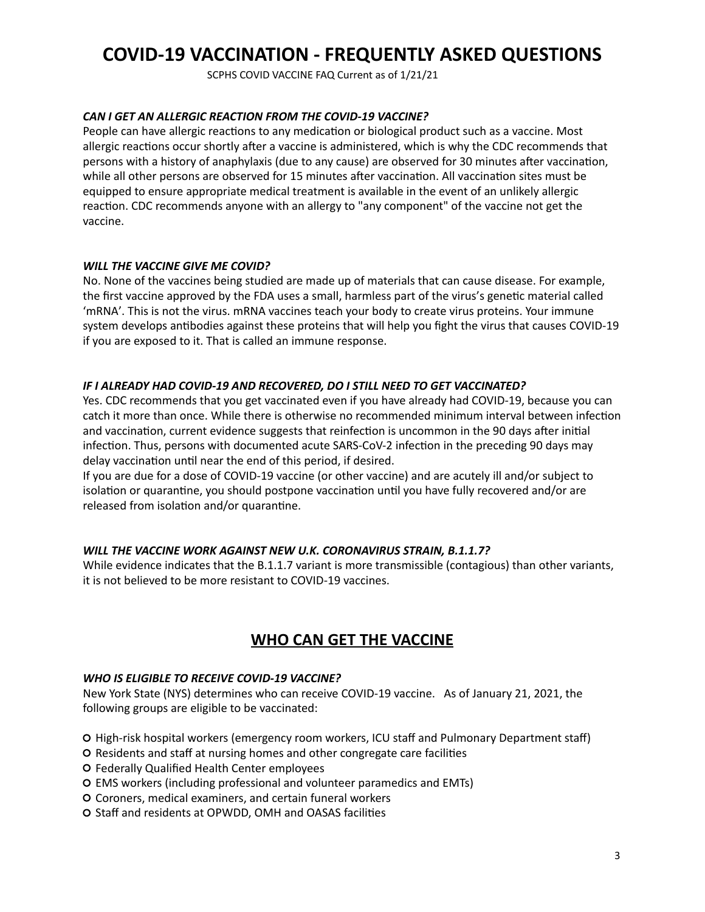SCPHS COVID VACCINE FAQ Current as of 1/21/21

#### *CAN I GET AN ALLERGIC REACTION FROM THE COVID-19 VACCINE?*

People can have allergic reactions to any medication or biological product such as a vaccine. Most allergic reactions occur shortly after a vaccine is administered, which is why the CDC recommends that persons with a history of anaphylaxis (due to any cause) are observed for 30 minutes after vaccination, while all other persons are observed for 15 minutes after vaccination. All vaccination sites must be equipped to ensure appropriate medical treatment is available in the event of an unlikely allergic reaction. CDC recommends anyone with an allergy to "any component" of the vaccine not get the vaccine.

#### *WILL THE VACCINE GIVE ME COVID?*

No. None of the vaccines being studied are made up of materials that can cause disease. For example, the first vaccine approved by the FDA uses a small, harmless part of the virus's genetic material called 'mRNA'. This is not the virus. mRNA vaccines teach your body to create virus proteins. Your immune system develops antibodies against these proteins that will help you fight the virus that causes COVID-19 if you are exposed to it. That is called an immune response.

#### **IF I ALREADY HAD COVID-19 AND RECOVERED, DO I STILL NEED TO GET VACCINATED?**

Yes. CDC recommends that you get vaccinated even if you have already had COVID-19, because you can catch it more than once. While there is otherwise no recommended minimum interval between infection and vaccination, current evidence suggests that reinfection is uncommon in the 90 days after initial infection. Thus, persons with documented acute SARS-CoV-2 infection in the preceding 90 days may delay vaccination until near the end of this period, if desired.

If you are due for a dose of COVID-19 vaccine (or other vaccine) and are acutely ill and/or subject to isolation or quarantine, you should postpone vaccination until you have fully recovered and/or are released from isolation and/or quarantine.

### WILL THE VACCINE WORK AGAINST NEW U.K. CORONAVIRUS STRAIN, B.1.1.7?

While evidence indicates that the B.1.1.7 variant is more transmissible (contagious) than other variants, it is not believed to be more resistant to COVID-19 vaccines.

## **WHO CAN GET THE VACCINE**

#### WHO IS ELIGIBLE TO RECEIVE COVID-19 VACCINE?

New York State (NYS) determines who can receive COVID-19 vaccine. As of January 21, 2021, the following groups are eligible to be vaccinated:

- O High-risk hospital workers (emergency room workers, ICU staff and Pulmonary Department staff)
- O Residents and staff at nursing homes and other congregate care facilities
- O Federally Qualified Health Center employees
- O EMS workers (including professional and volunteer paramedics and EMTs)
- O Coroners, medical examiners, and certain funeral workers
- O Staff and residents at OPWDD, OMH and OASAS facilities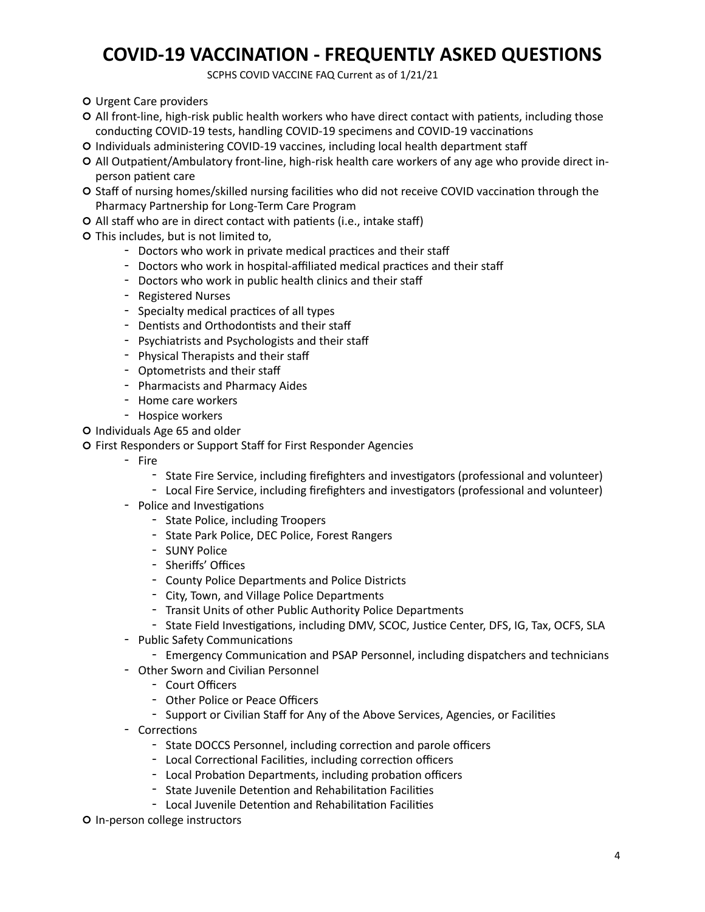SCPHS COVID VACCINE FAQ Current as of 1/21/21

- O Urgent Care providers
- O All front-line, high-risk public health workers who have direct contact with patients, including those conducting COVID-19 tests, handling COVID-19 specimens and COVID-19 vaccinations
- O Individuals administering COVID-19 vaccines, including local health department staff
- O All Outpatient/Ambulatory front-line, high-risk health care workers of any age who provide direct inperson patient care
- O Staff of nursing homes/skilled nursing facilities who did not receive COVID vaccination through the Pharmacy Partnership for Long-Term Care Program
- O All staff who are in direct contact with patients (i.e., intake staff)
- O This includes, but is not limited to,
	- Doctors who work in private medical practices and their staff
	- Doctors who work in hospital-affiliated medical practices and their staff
	- Doctors who work in public health clinics and their staff
	- Registered Nurses
	- Specialty medical practices of all types
	- Dentists and Orthodontists and their staff
	- Psychiatrists and Psychologists and their staff
	- Physical Therapists and their staff
	- Optometrists and their staff
	- Pharmacists and Pharmacy Aides
	- Home care workers
	- Hospice workers
- O Individuals Age 65 and older
- O First Responders or Support Staff for First Responder Agencies
	- Fire
		- State Fire Service, including firefighters and investigators (professional and volunteer)
		- Local Fire Service, including firefighters and investigators (professional and volunteer)
	- Police and Investigations
		- State Police, including Troopers
		- State Park Police, DEC Police, Forest Rangers
		- SUNY Police
		- Sheriffs' Offices
		- County Police Departments and Police Districts
		- City, Town, and Village Police Departments
		- Transit Units of other Public Authority Police Departments
		- State Field Investigations, including DMV, SCOC, Justice Center, DFS, IG, Tax, OCFS, SLA
	- Public Safety Communications
		- Emergency Communication and PSAP Personnel, including dispatchers and technicians
	- Other Sworn and Civilian Personnel
		- Court Officers
		- Other Police or Peace Officers
		- Support or Civilian Staff for Any of the Above Services, Agencies, or Facilities
	- Corrections
		- State DOCCS Personnel, including correction and parole officers
		- Local Correctional Facilities, including correction officers
		- Local Probation Departments, including probation officers
		- State Juvenile Detention and Rehabilitation Facilities
		- Local Juvenile Detention and Rehabilitation Facilities
- O In-person college instructors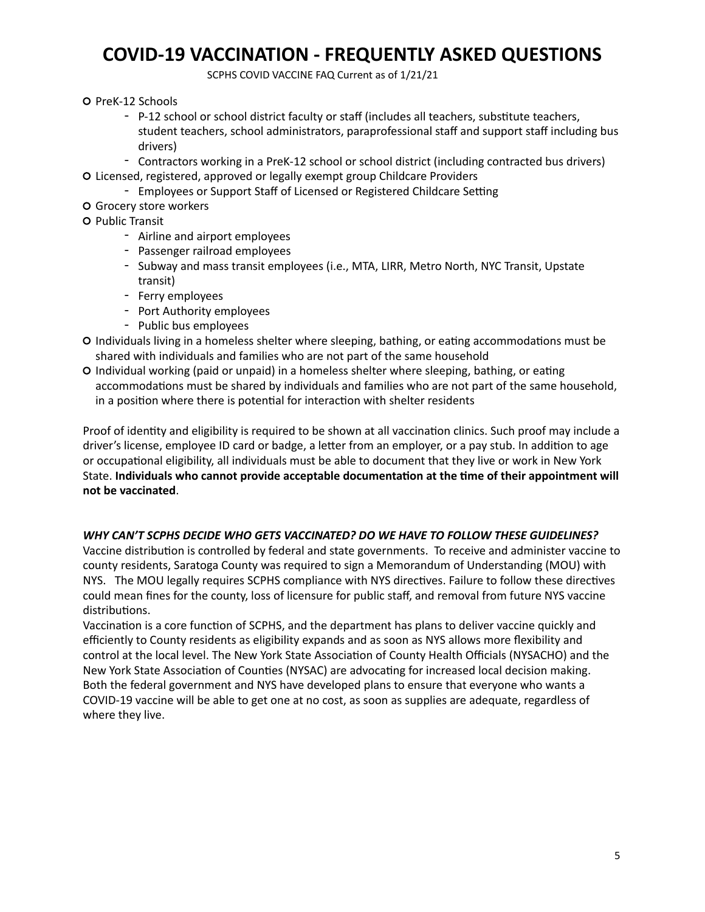SCPHS COVID VACCINE FAQ Current as of 1/21/21

- O PreK-12 Schools
	- P-12 school or school district faculty or staff (includes all teachers, substitute teachers, student teachers, school administrators, paraprofessional staff and support staff including bus drivers)
- Contractors working in a PreK-12 school or school district (including contracted bus drivers) O Licensed, registered, approved or legally exempt group Childcare Providers
	- Employees or Support Staff of Licensed or Registered Childcare Setting
- O Grocery store workers
- O Public Transit
	- Airline and airport employees
	- Passenger railroad employees
	- Subway and mass transit employees (i.e., MTA, LIRR, Metro North, NYC Transit, Upstate transit)
	- Ferry employees
	- Port Authority employees
	- Public bus employees
- O Individuals living in a homeless shelter where sleeping, bathing, or eating accommodations must be shared with individuals and families who are not part of the same household
- O Individual working (paid or unpaid) in a homeless shelter where sleeping, bathing, or eating accommodations must be shared by individuals and families who are not part of the same household, in a position where there is potential for interaction with shelter residents

Proof of identity and eligibility is required to be shown at all vaccination clinics. Such proof may include a driver's license, employee ID card or badge, a letter from an employer, or a pay stub. In addition to age or occupational eligibility, all individuals must be able to document that they live or work in New York State. Individuals who cannot provide acceptable documentation at the time of their appointment will **not be vaccinated**.

### WHY CAN'T SCPHS DECIDE WHO GETS VACCINATED? DO WE HAVE TO FOLLOW THESE GUIDELINES?

Vaccine distribution is controlled by federal and state governments. To receive and administer vaccine to county residents, Saratoga County was required to sign a Memorandum of Understanding (MOU) with NYS. The MOU legally requires SCPHS compliance with NYS directives. Failure to follow these directives could mean fines for the county, loss of licensure for public staff, and removal from future NYS vaccine distributions. 

Vaccination is a core function of SCPHS, and the department has plans to deliver vaccine quickly and efficiently to County residents as eligibility expands and as soon as NYS allows more flexibility and control at the local level. The New York State Association of County Health Officials (NYSACHO) and the New York State Association of Counties (NYSAC) are advocating for increased local decision making. Both the federal government and NYS have developed plans to ensure that everyone who wants a COVID-19 vaccine will be able to get one at no cost, as soon as supplies are adequate, regardless of where they live.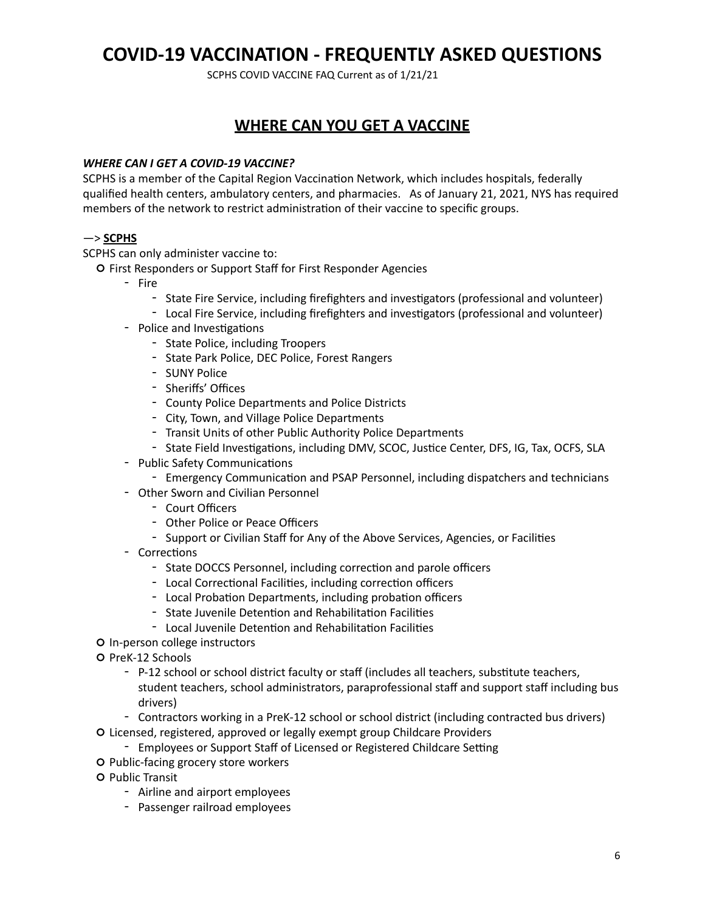SCPHS COVID VACCINE FAQ Current as of 1/21/21

# **WHERE CAN YOU GET A VACCINE**

### *WHERE CAN I GET A COVID-19 VACCINE?*

SCPHS is a member of the Capital Region Vaccination Network, which includes hospitals, federally qualified health centers, ambulatory centers, and pharmacies. As of January 21, 2021, NYS has required members of the network to restrict administration of their vaccine to specific groups.

### —> **SCPHS**

SCPHS can only administer vaccine to:

- O First Responders or Support Staff for First Responder Agencies
	- Fire
		- State Fire Service, including firefighters and investigators (professional and volunteer)
		- Local Fire Service, including firefighters and investigators (professional and volunteer)
	- Police and Investigations
		- State Police, including Troopers
		- State Park Police, DEC Police, Forest Rangers
		- SUNY Police
		- Sheriffs' Offices
		- County Police Departments and Police Districts
		- City, Town, and Village Police Departments
		- Transit Units of other Public Authority Police Departments
		- State Field Investigations, including DMV, SCOC, Justice Center, DFS, IG, Tax, OCFS, SLA
	- Public Safety Communications
		- Emergency Communication and PSAP Personnel, including dispatchers and technicians
	- Other Sworn and Civilian Personnel
		- Court Officers
		- Other Police or Peace Officers
		- Support or Civilian Staff for Any of the Above Services, Agencies, or Facilities
	- Corrections
		- State DOCCS Personnel, including correction and parole officers
		- Local Correctional Facilities, including correction officers
		- Local Probation Departments, including probation officers
		- State Juvenile Detention and Rehabilitation Facilities
		- Local Juvenile Detention and Rehabilitation Facilities
- O In-person college instructors
- O PreK-12 Schools
	- P-12 school or school district faculty or staff (includes all teachers, substitute teachers, student teachers, school administrators, paraprofessional staff and support staff including bus drivers)
	- Contractors working in a PreK-12 school or school district (including contracted bus drivers)
- O Licensed, registered, approved or legally exempt group Childcare Providers
	- Employees or Support Staff of Licensed or Registered Childcare Setting
- O Public-facing grocery store workers
- **O** Public Transit
	- Airline and airport employees
	- Passenger railroad employees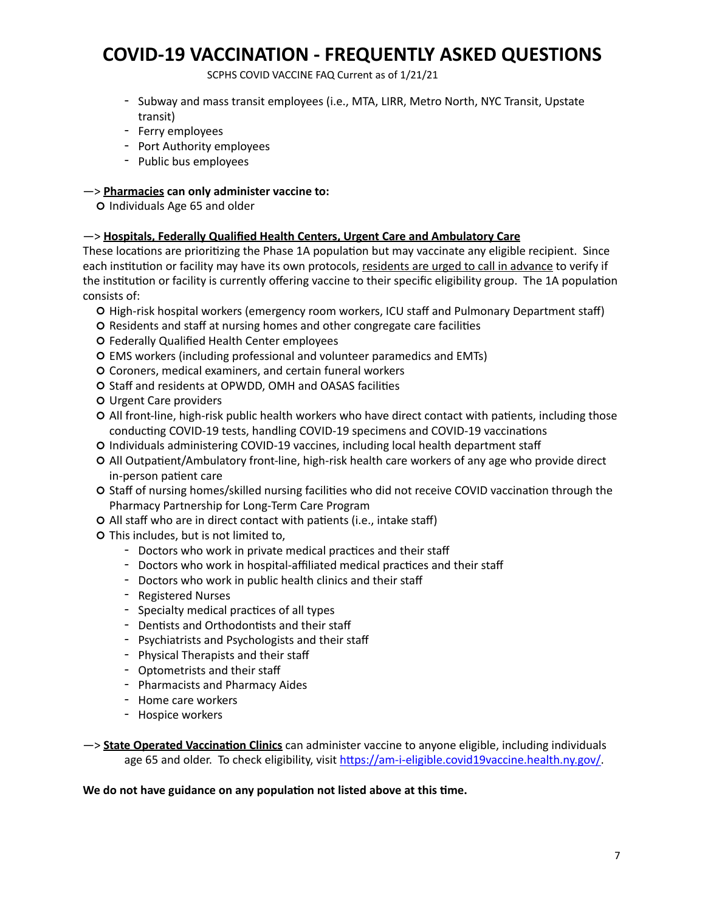SCPHS COVID VACCINE FAQ Current as of 1/21/21

- Subway and mass transit employees (i.e., MTA, LIRR, Metro North, NYC Transit, Upstate transit)
- Ferry employees
- Port Authority employees
- Public bus employees

### $\rightarrow$  Pharmacies can only administer vaccine to:

O Individuals Age 65 and older

### —> **Hospitals, Federally Qualified Health Centers, Urgent Care and Ambulatory Care**

These locations are prioritizing the Phase 1A population but may vaccinate any eligible recipient. Since each institution or facility may have its own protocols, residents are urged to call in advance to verify if the institution or facility is currently offering vaccine to their specific eligibility group. The 1A population consists of:

- O High-risk hospital workers (emergency room workers, ICU staff and Pulmonary Department staff)
- O Residents and staff at nursing homes and other congregate care facilities
- O Federally Qualified Health Center employees
- O EMS workers (including professional and volunteer paramedics and EMTs)
- O Coroners, medical examiners, and certain funeral workers
- O Staff and residents at OPWDD, OMH and OASAS facilities
- O Urgent Care providers
- O All front-line, high-risk public health workers who have direct contact with patients, including those conducting COVID-19 tests, handling COVID-19 specimens and COVID-19 vaccinations
- O Individuals administering COVID-19 vaccines, including local health department staff
- O All Outpatient/Ambulatory front-line, high-risk health care workers of any age who provide direct in-person patient care
- O Staff of nursing homes/skilled nursing facilities who did not receive COVID vaccination through the Pharmacy Partnership for Long-Term Care Program
- O All staff who are in direct contact with patients (i.e., intake staff)
- O This includes, but is not limited to,
	- Doctors who work in private medical practices and their staff
	- Doctors who work in hospital-affiliated medical practices and their staff
	- Doctors who work in public health clinics and their staff
	- Registered Nurses
	- Specialty medical practices of all types
	- Dentists and Orthodontists and their staff
	- Psychiatrists and Psychologists and their staff
	- Physical Therapists and their staff
	- Optometrists and their staff
	- Pharmacists and Pharmacy Aides
	- Home care workers
	- Hospice workers
- $\rightarrow$  State Operated Vaccination Clinics can administer vaccine to anyone eligible, including individuals age 65 and older. To check eligibility, visit https://am-i-eligible.covid19vaccine.health.ny.gov/.

### We do not have guidance on any population not listed above at this time.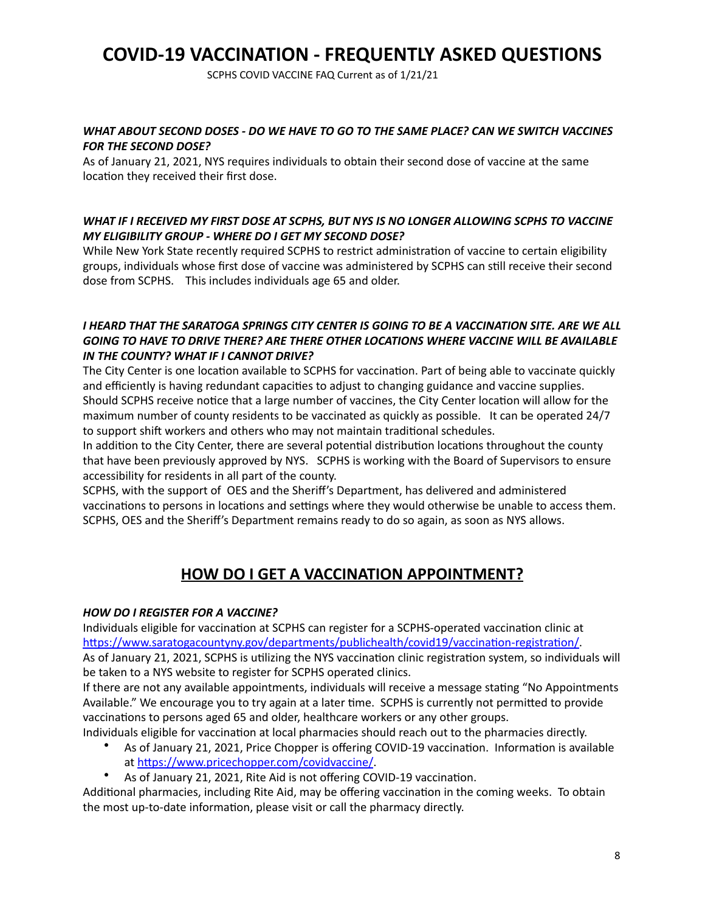SCPHS COVID VACCINE FAQ Current as of 1/21/21

### WHAT ABOUT SECOND DOSES - DO WE HAVE TO GO TO THE SAME PLACE? CAN WE SWITCH VACCINES **FOR THE SECOND DOSE?**

As of January 21, 2021, NYS requires individuals to obtain their second dose of vaccine at the same location they received their first dose.

### WHAT IF I RECEIVED MY FIRST DOSE AT SCPHS, BUT NYS IS NO LONGER ALLOWING SCPHS TO VACCINE *MY ELIGIBILITY GROUP - WHERE DO I GET MY SECOND DOSE?*

While New York State recently required SCPHS to restrict administration of vaccine to certain eligibility groups, individuals whose first dose of vaccine was administered by SCPHS can still receive their second dose from SCPHS. This includes individuals age 65 and older.

### I HEARD THAT THE SARATOGA SPRINGS CITY CENTER IS GOING TO BE A VACCINATION SITE. ARE WE ALL GOING TO HAVE TO DRIVE THERE? ARE THERE OTHER LOCATIONS WHERE VACCINE WILL BE AVAILABLE **IN THE COUNTY? WHAT IF I CANNOT DRIVE?**

The City Center is one location available to SCPHS for vaccination. Part of being able to vaccinate quickly and efficiently is having redundant capacities to adjust to changing guidance and vaccine supplies. Should SCPHS receive notice that a large number of vaccines, the City Center location will allow for the maximum number of county residents to be vaccinated as quickly as possible. It can be operated 24/7 to support shift workers and others who may not maintain traditional schedules.

In addition to the City Center, there are several potential distribution locations throughout the county that have been previously approved by NYS. SCPHS is working with the Board of Supervisors to ensure accessibility for residents in all part of the county.

SCPHS, with the support of OES and the Sheriff's Department, has delivered and administered vaccinations to persons in locations and settings where they would otherwise be unable to access them. SCPHS, OES and the Sheriff's Department remains ready to do so again, as soon as NYS allows.

# **HOW DO I GET A VACCINATION APPOINTMENT?**

## *HOW DO I REGISTER FOR A VACCINE?*

Individuals eligible for vaccination at SCPHS can register for a SCPHS-operated vaccination clinic at <https://www.saratogacountyny.gov/departments/publichealth/covid19/vaccination-registration/>. As of January 21, 2021, SCPHS is utilizing the NYS vaccination clinic registration system, so individuals will be taken to a NYS website to register for SCPHS operated clinics.

If there are not any available appointments, individuals will receive a message stating "No Appointments Available." We encourage you to try again at a later time. SCPHS is currently not permitted to provide vaccinations to persons aged 65 and older, healthcare workers or any other groups.

Individuals eligible for vaccination at local pharmacies should reach out to the pharmacies directly.

- As of January 21, 2021, Price Chopper is offering COVID-19 vaccination. Information is available at https://www.pricechopper.com/covidvaccine/.
- As of January 21, 2021, Rite Aid is not offering COVID-19 vaccination.

Additional pharmacies, including Rite Aid, may be offering vaccination in the coming weeks. To obtain the most up-to-date information, please visit or call the pharmacy directly.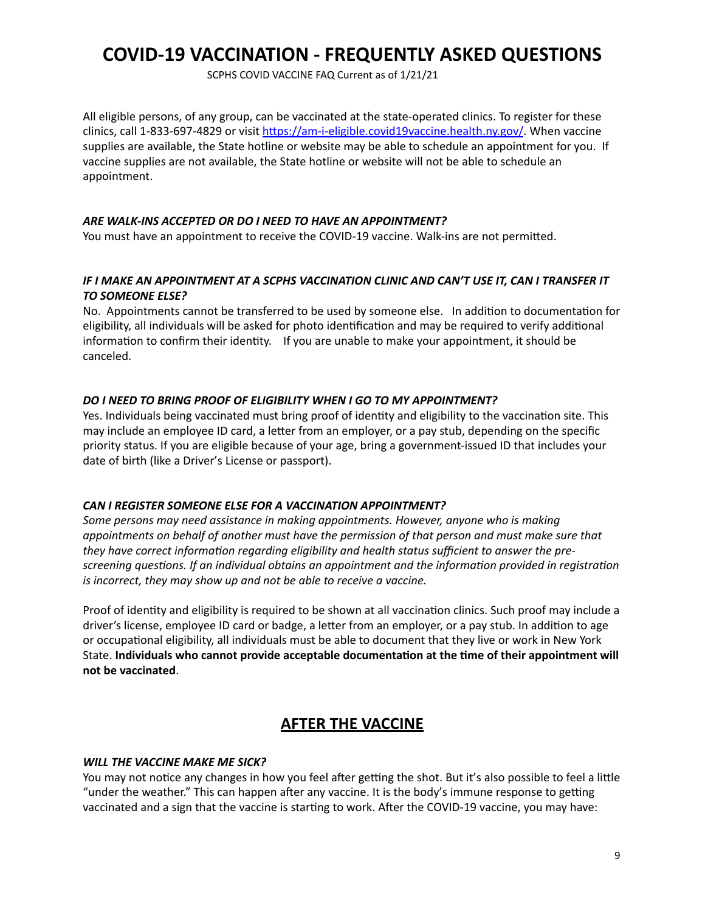SCPHS COVID VACCINE FAQ Current as of 1/21/21

All eligible persons, of any group, can be vaccinated at the state-operated clinics. To register for these clinics, call 1-833-697-4829 or visit https://am-i-eligible.covid19vaccine.health.ny.gov/. When vaccine supplies are available, the State hotline or website may be able to schedule an appointment for you. If vaccine supplies are not available, the State hotline or website will not be able to schedule an appointment. 

#### ARE WALK-INS ACCEPTED OR DO I NEED TO HAVE AN APPOINTMENT?

You must have an appointment to receive the COVID-19 vaccine. Walk-ins are not permitted.

### IF I MAKE AN APPOINTMENT AT A SCPHS VACCINATION CLINIC AND CAN'T USE IT, CAN I TRANSFER IT **TO SOMEONE ELSE?**

No. Appointments cannot be transferred to be used by someone else. In addition to documentation for eligibility, all individuals will be asked for photo identification and may be required to verify additional information to confirm their identity. If you are unable to make your appointment, it should be canceled. 

### *DO I NEED TO BRING PROOF OF ELIGIBILITY WHEN I GO TO MY APPOINTMENT?*

Yes. Individuals being vaccinated must bring proof of identity and eligibility to the vaccination site. This may include an employee ID card, a letter from an employer, or a pay stub, depending on the specific priority status. If you are eligible because of your age, bring a government-issued ID that includes your date of birth (like a Driver's License or passport).

#### CAN I REGISTER SOMEONE ELSE FOR A VACCINATION APPOINTMENT?

Some persons may need assistance in making appointments. However, anyone who is making *appointments* on behalf of another must have the permission of that person and must make sure that they have correct information regarding eligibility and health status sufficient to answer the prescreening questions. If an individual obtains an appointment and the information provided in registration *is incorrect, they may show up and not be able to receive a vaccine.* 

Proof of identity and eligibility is required to be shown at all vaccination clinics. Such proof may include a driver's license, employee ID card or badge, a letter from an employer, or a pay stub. In addition to age or occupational eligibility, all individuals must be able to document that they live or work in New York State. Individuals who cannot provide acceptable documentation at the time of their appointment will **not be vaccinated**.

# **AFTER THE VACCINE**

#### *WILL THE VACCINE MAKE ME SICK?*

You may not notice any changes in how you feel after getting the shot. But it's also possible to feel a little "under the weather." This can happen after any vaccine. It is the body's immune response to getting vaccinated and a sign that the vaccine is starting to work. After the COVID-19 vaccine, you may have: